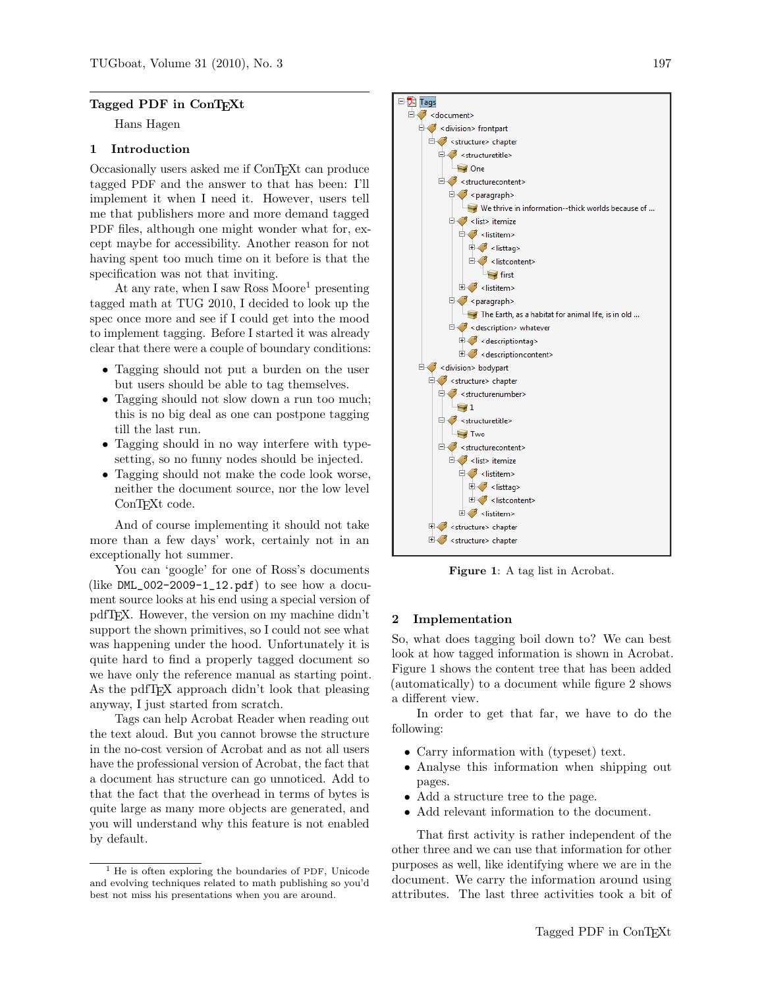# Tagged PDF in ConT<sub>EXt</sub>

Hans Hagen

# 1 Introduction

Occasionally users asked me if ConTEXt can produce tagged PDF and the answer to that has been: I'll implement it when I need it. However, users tell me that publishers more and more demand tagged PDF files, although one might wonder what for, except maybe for accessibility. Another reason for not having spent too much time on it before is that the specification was not that inviting.

At any rate, when I saw Ross Moore<sup>1</sup> presenting tagged math at TUG 2010, I decided to look up the spec once more and see if I could get into the mood to implement tagging. Before I started it was already clear that there were a couple of boundary conditions:

- Tagging should not put a burden on the user but users should be able to tag themselves.
- Tagging should not slow down a run too much; this is no big deal as one can postpone tagging till the last run.
- Tagging should in no way interfere with typesetting, so no funny nodes should be injected.
- Tagging should not make the code look worse, neither the document source, nor the low level ConT<sub>EXt</sub> code.

And of course implementing it should not take more than a few days' work, certainly not in an exceptionally hot summer.

You can 'google' for one of Ross's documents (like  $DML_002-2009-1_12.pdf$ ) to see how a document source looks at his end using a special version of pdfTEX. However, the version on my machine didn't support the shown primitives, so I could not see what was happening under the hood. Unfortunately it is quite hard to find a properly tagged document so we have only the reference manual as starting point. As the pdfT<sub>F</sub>X approach didn't look that pleasing anyway, I just started from scratch.

Tags can help Acrobat Reader when reading out the text aloud. But you cannot browse the structure in the no-cost version of Acrobat and as not all users have the professional version of Acrobat, the fact that a document has structure can go unnoticed. Add to that the fact that the overhead in terms of bytes is quite large as many more objects are generated, and you will understand why this feature is not enabled by default.



Figure 1: A tag list in Acrobat.

# 2 Implementation

So, what does tagging boil down to? We can best look at how tagged information is shown in Acrobat. Figure 1 shows the content tree that has been added (automatically) to a document while figure 2 shows a different view.

In order to get that far, we have to do the following:

- Carry information with (typeset) text.
- Analyse this information when shipping out pages.
- Add a structure tree to the page.
- Add relevant information to the document.

That first activity is rather independent of the other three and we can use that information for other purposes as well, like identifying where we are in the document. We carry the information around using attributes. The last three activities took a bit of

<sup>1</sup> He is often exploring the boundaries of PDF, Unicode and evolving techniques related to math publishing so you'd best not miss his presentations when you are around.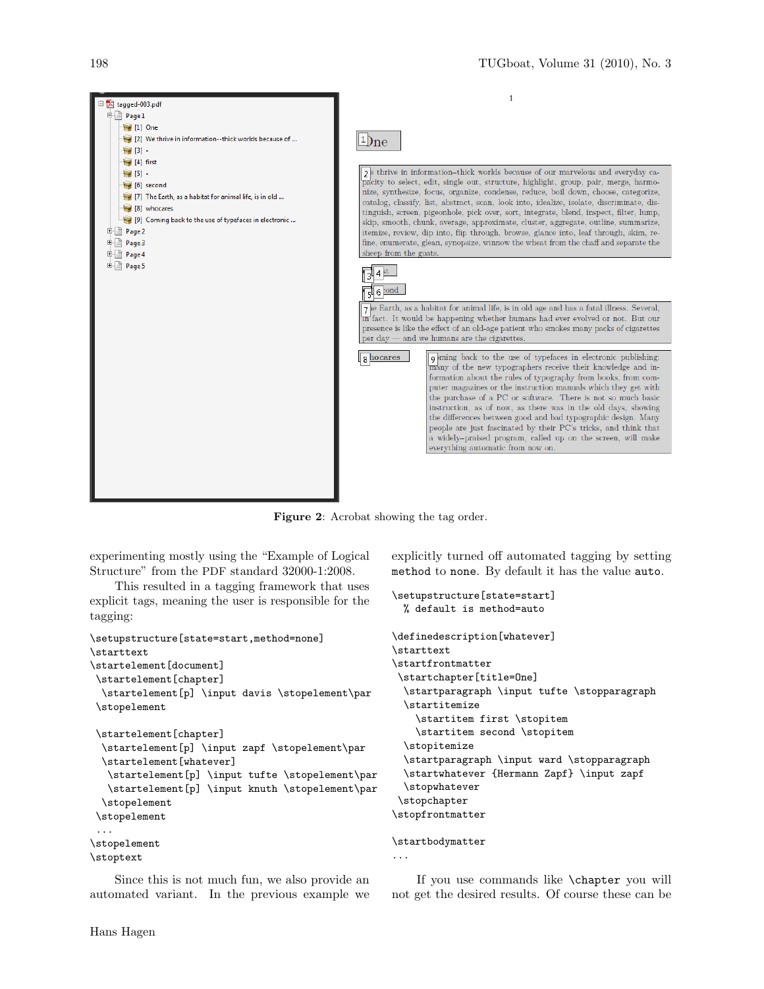

Figure 2: Acrobat showing the tag order.

experimenting mostly using the "Example of Logical Structure" from the PDF standard 32000-1:2008.

This resulted in a tagging framework that uses explicit tags, meaning the user is responsible for the tagging:

```
\setupstructure[state=start,method=none]
\starttext
\startelement[document]
\startelement[chapter]
 \startelement[p] \input davis \stopelement\par
\stopelement
\startelement[chapter]
 \startelement[p] \input zapf \stopelement\par
 \startelement[whatever]
  \startelement[p] \input tufte \stopelement\par
  \startelement[p] \input knuth \stopelement\par
  \stopelement
\stopelement
 ...
\stopelement
\stoptext
```
Since this is not much fun, we also provide an automated variant. In the previous example we

Hans Hagen

explicitly turned off automated tagging by setting method to none. By default it has the value auto.

```
\setupstructure[state=start]
 % default is method=auto
\definedescription[whatever]
\starttext
\startfrontmatter
\startchapter[title=One]
  \startparagraph \input tufte \stopparagraph
  \startitemize
    \startitem first \stopitem
    \startitem second \stopitem
  \stopitemize
 \startparagraph \input ward \stopparagraph
 \startwhatever {Hermann Zapf} \input zapf
  \stopwhatever
\stopchapter
\stopfrontmatter
```
# \startbodymatter

...

If you use commands like \chapter you will not get the desired results. Of course these can be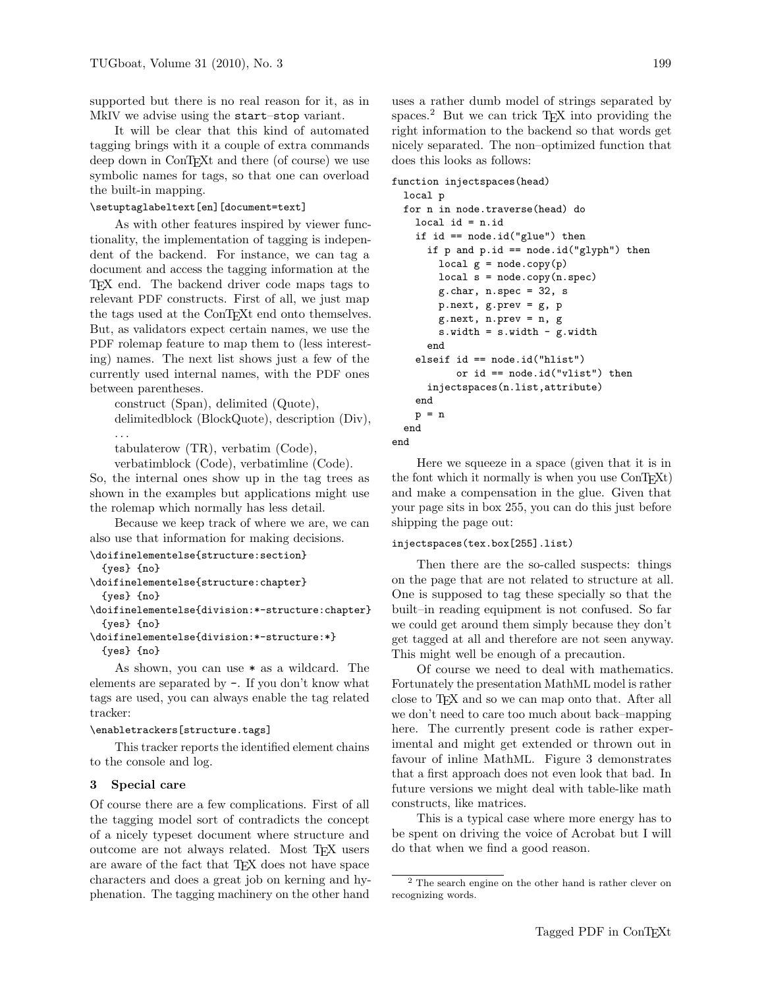supported but there is no real reason for it, as in MkIV we advise using the start–stop variant.

It will be clear that this kind of automated tagging brings with it a couple of extra commands deep down in ConT<sub>E</sub>Xt and there (of course) we use symbolic names for tags, so that one can overload the built-in mapping.

# \setuptaglabeltext[en][document=text]

As with other features inspired by viewer functionality, the implementation of tagging is independent of the backend. For instance, we can tag a document and access the tagging information at the TEX end. The backend driver code maps tags to relevant PDF constructs. First of all, we just map the tags used at the ConTEXt end onto themselves. But, as validators expect certain names, we use the PDF rolemap feature to map them to (less interesting) names. The next list shows just a few of the currently used internal names, with the PDF ones between parentheses.

construct (Span), delimited (Quote), delimitedblock (BlockQuote), description (Div), . . .

tabulaterow (TR), verbatim (Code),

verbatimblock (Code), verbatimline (Code).

So, the internal ones show up in the tag trees as shown in the examples but applications might use the rolemap which normally has less detail.

Because we keep track of where we are, we can also use that information for making decisions.

\doifinelementelse{structure:section}

```
{yes} {no}
```
\doifinelementelse{structure:chapter}

{yes} {no}

\doifinelementelse{division:\*-structure:chapter} {yes} {no}

```
\doifinelementelse{division:*-structure:*}
 {yes} {no}
```
As shown, you can use \* as a wildcard. The elements are separated by -. If you don't know what tags are used, you can always enable the tag related tracker:

#### \enabletrackers[structure.tags]

This tracker reports the identified element chains to the console and log.

#### 3 Special care

Of course there are a few complications. First of all the tagging model sort of contradicts the concept of a nicely typeset document where structure and outcome are not always related. Most TEX users are aware of the fact that TEX does not have space characters and does a great job on kerning and hyphenation. The tagging machinery on the other hand

uses a rather dumb model of strings separated by spaces.<sup>2</sup> But we can trick T<sub>E</sub>X into providing the right information to the backend so that words get nicely separated. The non–optimized function that does this looks as follows:

```
function injectspaces(head)
```
# local p

```
for n in node.traverse(head) do
  local id = n.idif id == node.id("glue") then
    if p and p.id == node.id("glyph") then
      local g = node.copy(p)local s = node.copy(n.\text{spec})g.char, n.spec = 32, s
      p.next, g.prev = g, p
      g.next, n.prev = n, g
      s.width = s.width - g.widthend
  elseif id == node.id("hlist")
         or id == node.id("vlist") then
    injectspaces(n.list,attribute)
  end
 p = n
end
```
end

Here we squeeze in a space (given that it is in the font which it normally is when you use ConT<sub>EXt</sub>) and make a compensation in the glue. Given that your page sits in box 255, you can do this just before shipping the page out:

# injectspaces(tex.box[255].list)

Then there are the so-called suspects: things on the page that are not related to structure at all. One is supposed to tag these specially so that the built–in reading equipment is not confused. So far we could get around them simply because they don't get tagged at all and therefore are not seen anyway. This might well be enough of a precaution.

Of course we need to deal with mathematics. Fortunately the presentation MathML model is rather close to TEX and so we can map onto that. After all we don't need to care too much about back–mapping here. The currently present code is rather experimental and might get extended or thrown out in favour of inline MathML. Figure 3 demonstrates that a first approach does not even look that bad. In future versions we might deal with table-like math constructs, like matrices.

This is a typical case where more energy has to be spent on driving the voice of Acrobat but I will do that when we find a good reason.

<sup>2</sup> The search engine on the other hand is rather clever on recognizing words.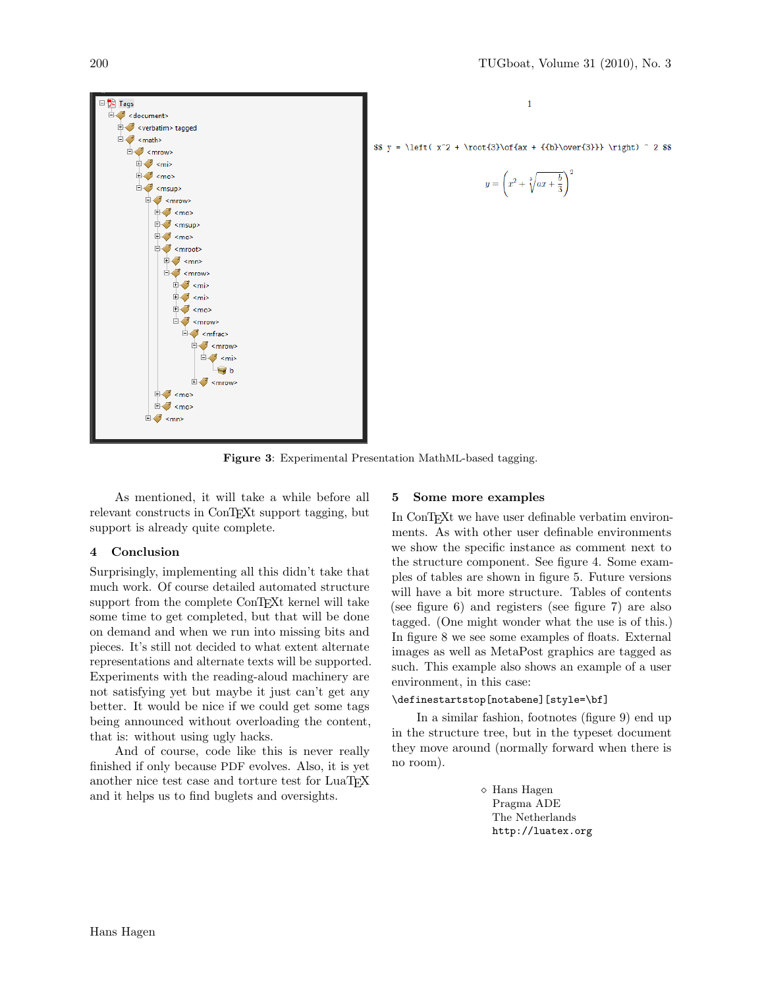

 $\mathbf{1}$ 

\$\$  $y = \left( x^2 + \root{3}\of\{ax + {\{b}\over{3}} \right) ^ 2$ 

$$
y = \left(x^2 + \sqrt[3]{ax + \frac{b}{3}}\right)^2
$$

Figure 3: Experimental Presentation MathML-based tagging.

As mentioned, it will take a while before all relevant constructs in ConTEXt support tagging, but support is already quite complete.

# 4 Conclusion

Surprisingly, implementing all this didn't take that much work. Of course detailed automated structure support from the complete ConTEXt kernel will take some time to get completed, but that will be done on demand and when we run into missing bits and pieces. It's still not decided to what extent alternate representations and alternate texts will be supported. Experiments with the reading-aloud machinery are not satisfying yet but maybe it just can't get any better. It would be nice if we could get some tags being announced without overloading the content, that is: without using ugly hacks.

And of course, code like this is never really finished if only because PDF evolves. Also, it is yet another nice test case and torture test for LuaTEX and it helps us to find buglets and oversights.

# 5 Some more examples

In ConTEXt we have user definable verbatim environments. As with other user definable environments we show the specific instance as comment next to the structure component. See figure 4. Some examples of tables are shown in figure 5. Future versions will have a bit more structure. Tables of contents (see figure 6) and registers (see figure 7) are also tagged. (One might wonder what the use is of this.) In figure 8 we see some examples of floats. External images as well as MetaPost graphics are tagged as such. This example also shows an example of a user environment, in this case:

# \definestartstop[notabene][style=\bf]

In a similar fashion, footnotes (figure 9) end up in the structure tree, but in the typeset document they move around (normally forward when there is no room).

> Hans Hagen Pragma ADE The Netherlands http://luatex.org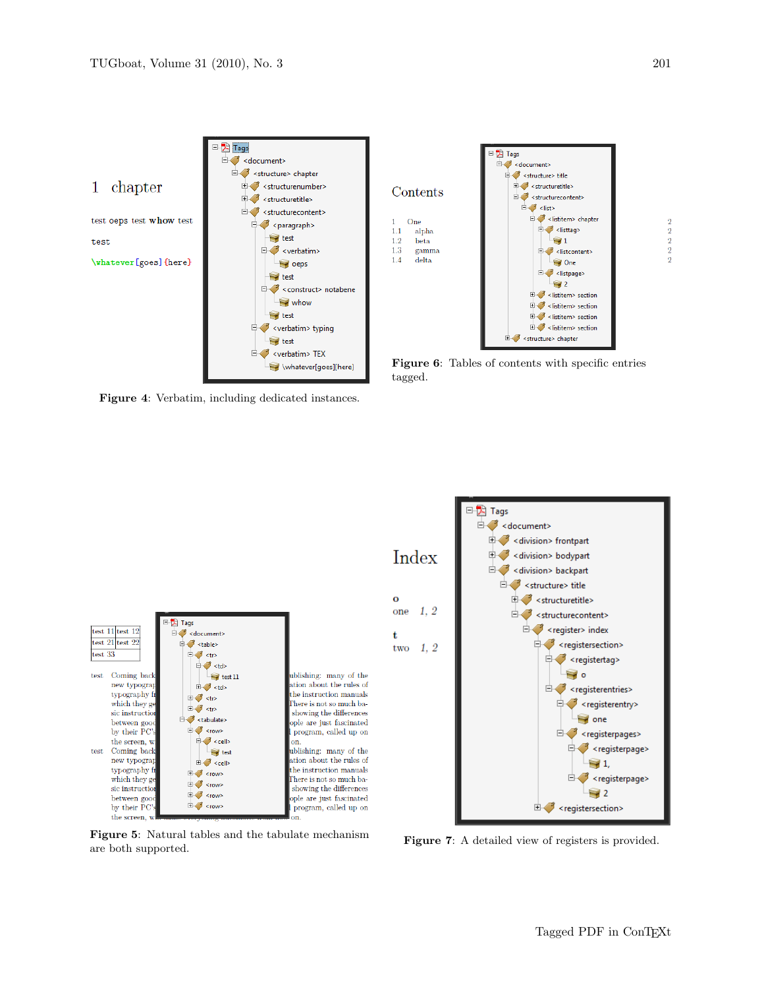

Figure 4: Verbatim, including dedicated instances.



Figure 6: Tables of contents with specific entries tagged.



Figure 5: Natural tables and the tabulate mechanism are both supported.



Figure 7: A detailed view of registers is provided.

 $\overline{2}$ 

 $\overline{2}$ 

 $\frac{2}{2}$ 

 $\overline{2}$